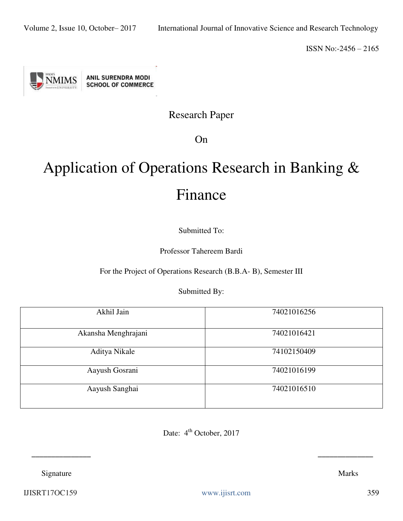

# Research Paper

On

# Application of Operations Research in Banking & Finance

Submitted To:

Professor Tahereem Bardi

For the Project of Operations Research (B.B.A- B), Semester III

Submitted By:

| Akhil Jain          | 74021016256 |
|---------------------|-------------|
| Akansha Menghrajani | 74021016421 |
| Aditya Nikale       | 74102150409 |
| Aayush Gosrani      | 74021016199 |
| Aayush Sanghai      | 74021016510 |

Date: 4<sup>th</sup> October, 2017

 **\_\_\_\_\_\_\_\_\_\_\_\_\_\_\_ \_\_\_\_\_\_\_\_\_\_\_\_\_\_** 

Signature Marks

IJISRT17OC159 [www.ijisrt.com](http://www.ijisrt.com/) 359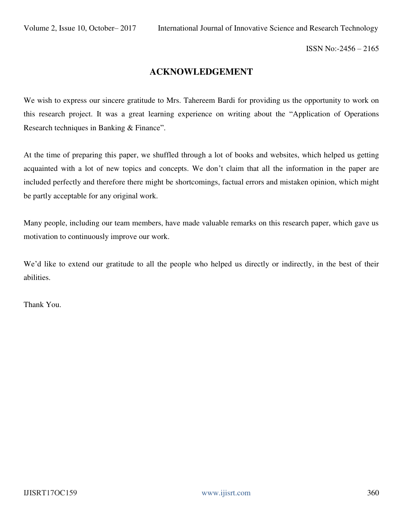#### **ACKNOWLEDGEMENT**

We wish to express our sincere gratitude to Mrs. Tahereem Bardi for providing us the opportunity to work on this research project. It was a great learning experience on writing about the "Application of Operations Research techniques in Banking & Finance".

At the time of preparing this paper, we shuffled through a lot of books and websites, which helped us getting acquainted with a lot of new topics and concepts. We don't claim that all the information in the paper are included perfectly and therefore there might be shortcomings, factual errors and mistaken opinion, which might be partly acceptable for any original work.

Many people, including our team members, have made valuable remarks on this research paper, which gave us motivation to continuously improve our work.

We'd like to extend our gratitude to all the people who helped us directly or indirectly, in the best of their abilities.

Thank You.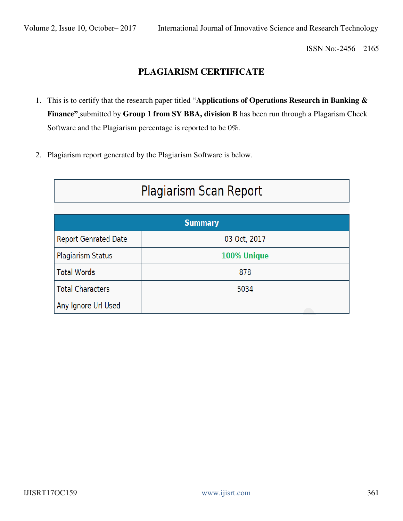## **PLAGIARISM CERTIFICATE**

- 1. This is to certify that the research paper titled "**Applications of Operations Research in Banking & Finance"** submitted by **Group 1 from SY BBA, division B** has been run through a Plagarism Check Software and the Plagiarism percentage is reported to be 0%.
- 2. Plagiarism report generated by the Plagiarism Software is below.

| Plagiarism Scan Report      |              |  |  |  |
|-----------------------------|--------------|--|--|--|
| <b>Summary</b>              |              |  |  |  |
| <b>Report Genrated Date</b> | 03 Oct, 2017 |  |  |  |
| <b>Plagiarism Status</b>    | 100% Unique  |  |  |  |
| <b>Total Words</b>          | 878          |  |  |  |
| <b>Total Characters</b>     | 5034         |  |  |  |
| Any Ignore Url Used         |              |  |  |  |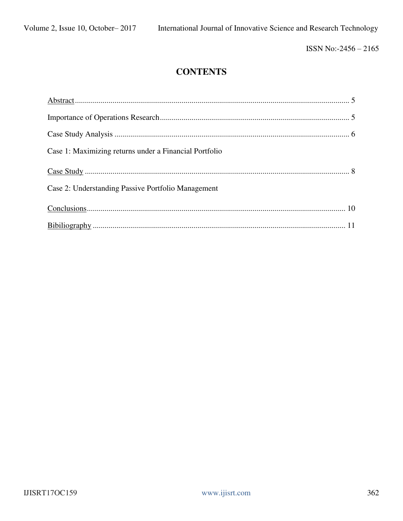ISSN No:-2456-2165

## **CONTENTS**

| Case 1: Maximizing returns under a Financial Portfolio |  |
|--------------------------------------------------------|--|
|                                                        |  |
| Case 2: Understanding Passive Portfolio Management     |  |
|                                                        |  |
|                                                        |  |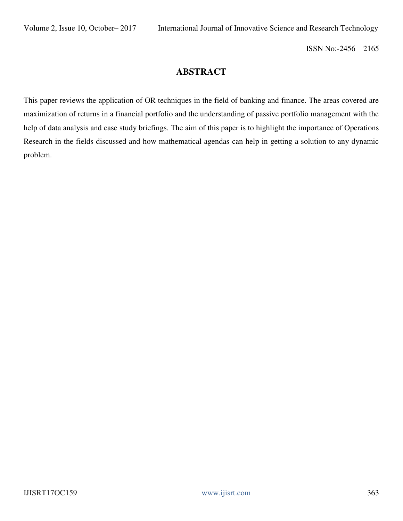### **ABSTRACT**

This paper reviews the application of OR techniques in the field of banking and finance. The areas covered are maximization of returns in a financial portfolio and the understanding of passive portfolio management with the help of data analysis and case study briefings. The aim of this paper is to highlight the importance of Operations Research in the fields discussed and how mathematical agendas can help in getting a solution to any dynamic problem.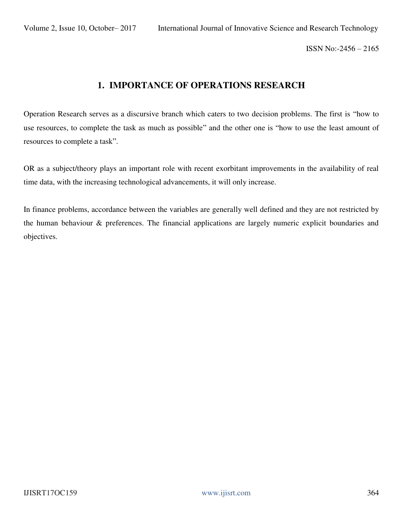#### **1. IMPORTANCE OF OPERATIONS RESEARCH**

Operation Research serves as a discursive branch which caters to two decision problems. The first is "how to use resources, to complete the task as much as possible" and the other one is "how to use the least amount of resources to complete a task".

OR as a subject/theory plays an important role with recent exorbitant improvements in the availability of real time data, with the increasing technological advancements, it will only increase.

In finance problems, accordance between the variables are generally well defined and they are not restricted by the human behaviour & preferences. The financial applications are largely numeric explicit boundaries and objectives.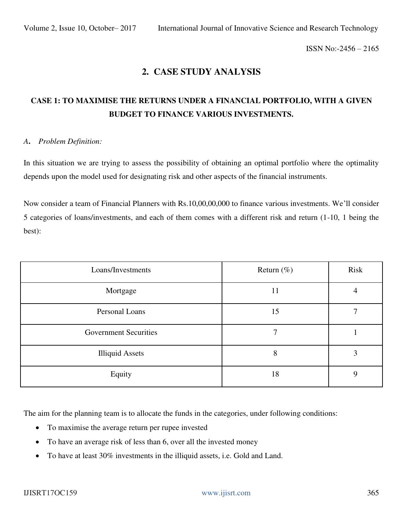#### **2. CASE STUDY ANALYSIS**

## **CASE 1: TO MAXIMISE THE RETURNS UNDER A FINANCIAL PORTFOLIO, WITH A GIVEN BUDGET TO FINANCE VARIOUS INVESTMENTS.**

#### *A***.** *Problem Definition:*

In this situation we are trying to assess the possibility of obtaining an optimal portfolio where the optimality depends upon the model used for designating risk and other aspects of the financial instruments.

Now consider a team of Financial Planners with Rs.10,00,00,000 to finance various investments. We'll consider 5 categories of loans/investments, and each of them comes with a different risk and return (1-10, 1 being the best):

| Loans/Investments            | Return $(\%)$ | Risk |
|------------------------------|---------------|------|
| Mortgage                     | 11            |      |
| Personal Loans               | 15            |      |
| <b>Government Securities</b> |               |      |
| <b>Illiquid Assets</b>       | 8             | 3    |
| Equity                       | 18            | Q    |

The aim for the planning team is to allocate the funds in the categories, under following conditions:

- To maximise the average return per rupee invested
- To have an average risk of less than 6, over all the invested money
- To have at least 30% investments in the illiquid assets, i.e. Gold and Land.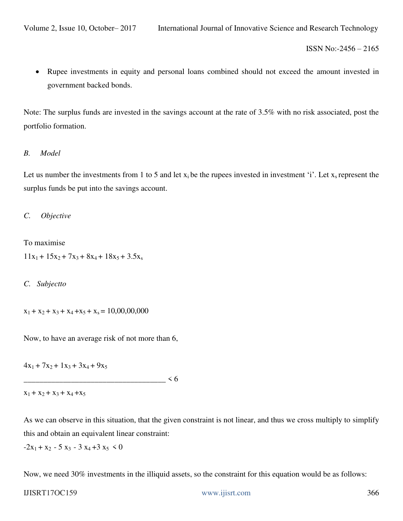Rupee investments in equity and personal loans combined should not exceed the amount invested in government backed bonds.

Note: The surplus funds are invested in the savings account at the rate of 3.5% with no risk associated, post the portfolio formation.

#### *B. Model*

Let us number the investments from 1 to 5 and let  $x_i$  be the rupees invested in investment 'i'. Let  $x_s$  represent the surplus funds be put into the savings account.

*C. Objective* 

To maximise  $11x_1 + 15x_2 + 7x_3 + 8x_4 + 18x_5 + 3.5x_8$ 

*C. Subjectto* 

 $x_1 + x_2 + x_3 + x_4 + x_5 + x_8 = 10,00,00,000$ 

Now, to have an average risk of not more than 6,

 $4x_1 + 7x_2 + 1x_3 + 3x_4 + 9x_5$ 

 $\leq 6$ 

```
x_1 + x_2 + x_3 + x_4 + x_5
```
As we can observe in this situation, that the given constraint is not linear, and thus we cross multiply to simplify this and obtain an equivalent linear constraint:

 $-2x_1 + x_2 - 5x_3 - 3x_4 + 3x_5 < 0$ 

Now, we need 30% investments in the illiquid assets, so the constraint for this equation would be as follows: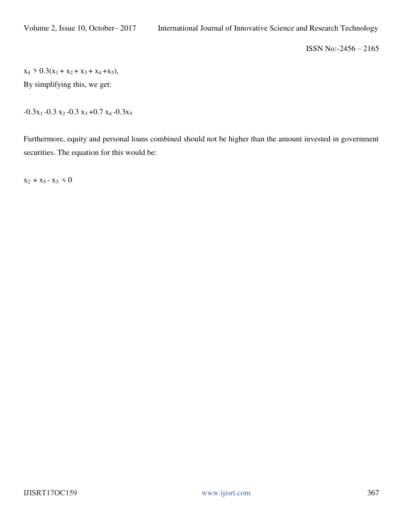$x_4 > 0.3(x_1 + x_2 + x_3 + x_4 + x_5),$ 

By simplifying this, we get:

 $-0.3x_1 - 0.3x_2 - 0.3x_3 + 0.7x_4 - 0.3x_5$ 

Furthermore, equity and personal loans combined should not be higher than the amount invested in government securities. The equation for this would be:

 $x_2 + x_5 - x_3 < 0$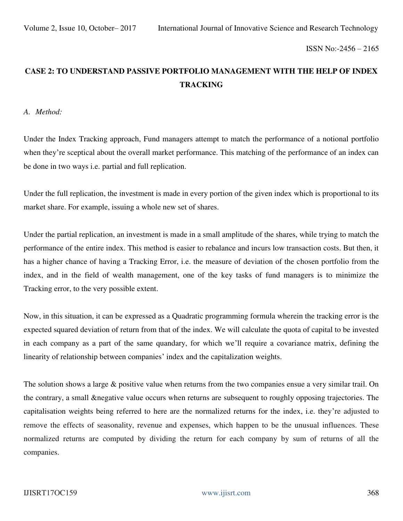## **CASE 2: TO UNDERSTAND PASSIVE PORTFOLIO MANAGEMENT WITH THE HELP OF INDEX TRACKING**

*A. Method:* 

Under the Index Tracking approach, Fund managers attempt to match the performance of a notional portfolio when they're sceptical about the overall market performance. This matching of the performance of an index can be done in two ways i.e. partial and full replication.

Under the full replication, the investment is made in every portion of the given index which is proportional to its market share. For example, issuing a whole new set of shares.

Under the partial replication, an investment is made in a small amplitude of the shares, while trying to match the performance of the entire index. This method is easier to rebalance and incurs low transaction costs. But then, it has a higher chance of having a Tracking Error, i.e. the measure of deviation of the chosen portfolio from the index, and in the field of wealth management, one of the key tasks of fund managers is to minimize the Tracking error, to the very possible extent.

Now, in this situation, it can be expressed as a Quadratic programming formula wherein the tracking error is the expected squared deviation of return from that of the index. We will calculate the quota of capital to be invested in each company as a part of the same quandary, for which we'll require a covariance matrix, defining the linearity of relationship between companies' index and the capitalization weights.

The solution shows a large & positive value when returns from the two companies ensue a very similar trail. On the contrary, a small &negative value occurs when returns are subsequent to roughly opposing trajectories. The capitalisation weights being referred to here are the normalized returns for the index, i.e. they're adjusted to remove the effects of seasonality, revenue and expenses, which happen to be the unusual influences. These normalized returns are computed by dividing the return for each company by sum of returns of all the companies.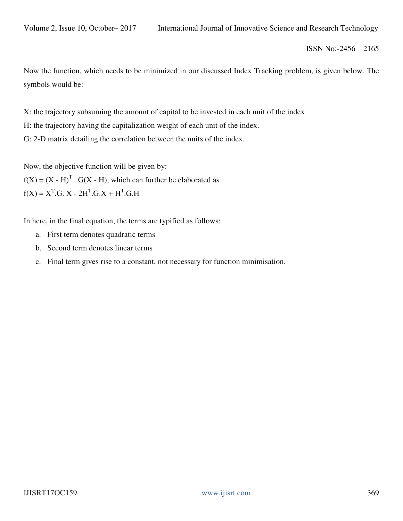Now the function, which needs to be minimized in our discussed Index Tracking problem, is given below. The symbols would be:

X: the trajectory subsuming the amount of capital to be invested in each unit of the index H: the trajectory having the capitalization weight of each unit of the index. G: 2-D matrix detailing the correlation between the units of the index.

Now, the objective function will be given by:  $f(X) = (X - H)^T$ . G(X - H), which can further be elaborated as  $f(X) = X<sup>T</sup>.G. X - 2H<sup>T</sup>.G.X + H<sup>T</sup>.G.H$ 

In here, in the final equation, the terms are typified as follows:

- a. First term denotes quadratic terms
- b. Second term denotes linear terms
- c. Final term gives rise to a constant, not necessary for function minimisation.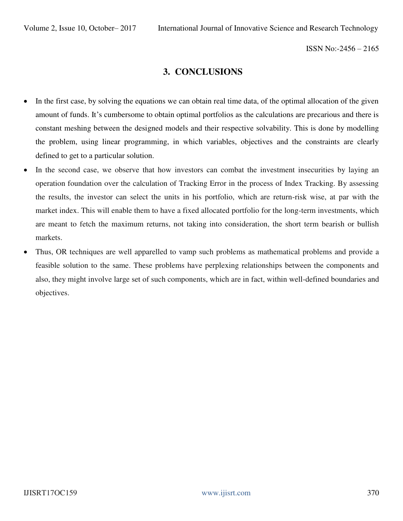#### **3. CONCLUSIONS**

- In the first case, by solving the equations we can obtain real time data, of the optimal allocation of the given amount of funds. It's cumbersome to obtain optimal portfolios as the calculations are precarious and there is constant meshing between the designed models and their respective solvability. This is done by modelling the problem, using linear programming, in which variables, objectives and the constraints are clearly defined to get to a particular solution.
- In the second case, we observe that how investors can combat the investment insecurities by laying an operation foundation over the calculation of Tracking Error in the process of Index Tracking. By assessing the results, the investor can select the units in his portfolio, which are return-risk wise, at par with the market index. This will enable them to have a fixed allocated portfolio for the long-term investments, which are meant to fetch the maximum returns, not taking into consideration, the short term bearish or bullish markets.
- Thus, OR techniques are well apparelled to vamp such problems as mathematical problems and provide a feasible solution to the same. These problems have perplexing relationships between the components and also, they might involve large set of such components, which are in fact, within well-defined boundaries and objectives.